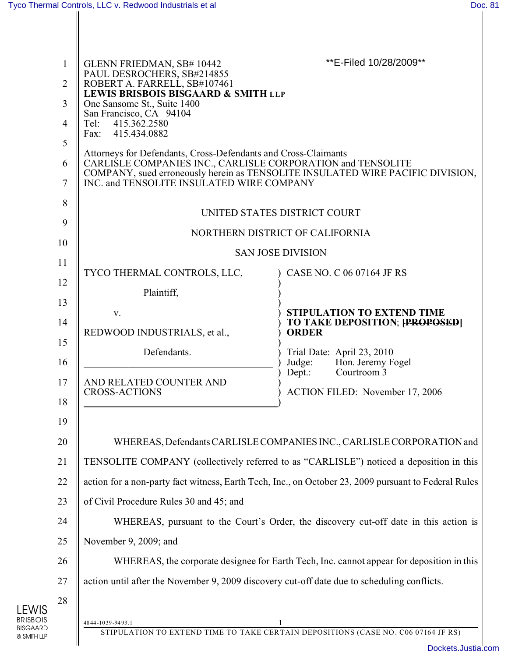LEWIS BRISBOIS BISGAARD & SMITH LLP

| $\mathbf{1}$<br>$\overline{2}$<br>$\overline{3}$<br>$\overline{4}$<br>5<br>6<br>$\overline{7}$ | GLENN FRIEDMAN, SB# 10442<br>PAUL DESROCHERS, SB#214855<br>ROBERT A. FARRELL, SB#107461<br>LEWIS BRISBOIS BISGAARD & SMITH LLP<br>One Sansome St., Suite 1400<br>San Francisco, CA 94104<br>415.362.2580<br>Tel:<br>Fax: 415.434.0882<br>Attorneys for Defendants, Cross-Defendants and Cross-Claimants<br>CARLISLE COMPANIES INC., CARLISLE CORPORATION and TENSOLITE<br>INC. and TENSOLITE INSULATED WIRE COMPANY                                                                                                                                                                                                              | **E-Filed 10/28/2009**<br>COMPANY, sued erroneously herein as TENSOLITE INSULATED WIRE PACIFIC DIVISION, |  |  |  |  |
|------------------------------------------------------------------------------------------------|----------------------------------------------------------------------------------------------------------------------------------------------------------------------------------------------------------------------------------------------------------------------------------------------------------------------------------------------------------------------------------------------------------------------------------------------------------------------------------------------------------------------------------------------------------------------------------------------------------------------------------|----------------------------------------------------------------------------------------------------------|--|--|--|--|
| 8<br>9                                                                                         | UNITED STATES DISTRICT COURT                                                                                                                                                                                                                                                                                                                                                                                                                                                                                                                                                                                                     |                                                                                                          |  |  |  |  |
| 10                                                                                             | NORTHERN DISTRICT OF CALIFORNIA                                                                                                                                                                                                                                                                                                                                                                                                                                                                                                                                                                                                  |                                                                                                          |  |  |  |  |
| 11                                                                                             | <b>SAN JOSE DIVISION</b>                                                                                                                                                                                                                                                                                                                                                                                                                                                                                                                                                                                                         |                                                                                                          |  |  |  |  |
| 12                                                                                             | TYCO THERMAL CONTROLS, LLC,                                                                                                                                                                                                                                                                                                                                                                                                                                                                                                                                                                                                      | CASE NO. C 06 07164 JF RS                                                                                |  |  |  |  |
| 13                                                                                             | Plaintiff,                                                                                                                                                                                                                                                                                                                                                                                                                                                                                                                                                                                                                       |                                                                                                          |  |  |  |  |
| 14                                                                                             | V.                                                                                                                                                                                                                                                                                                                                                                                                                                                                                                                                                                                                                               | <b>STIPULATION TO EXTEND TIME</b><br>TO TAKE DEPOSITION; [PROPOSED]                                      |  |  |  |  |
| 15                                                                                             | REDWOOD INDUSTRIALS, et al.,                                                                                                                                                                                                                                                                                                                                                                                                                                                                                                                                                                                                     | <b>ORDER</b>                                                                                             |  |  |  |  |
| 16                                                                                             | Defendants.                                                                                                                                                                                                                                                                                                                                                                                                                                                                                                                                                                                                                      | Trial Date: April 23, 2010<br>Hon. Jeremy Fogel<br>Judge:                                                |  |  |  |  |
| 17<br>18                                                                                       | AND RELATED COUNTER AND<br><b>CROSS-ACTIONS</b>                                                                                                                                                                                                                                                                                                                                                                                                                                                                                                                                                                                  | Courtroom <sub>3</sub><br>Depth:<br>ACTION FILED: November 17, 2006                                      |  |  |  |  |
| 19<br>20<br>21<br>22<br>23<br>24<br>25<br>26<br>27<br>28                                       | WHEREAS, Defendants CARLISLE COMPANIES INC., CARLISLE CORPORATION and<br>TENSOLITE COMPANY (collectively referred to as "CARLISLE") noticed a deposition in this<br>action for a non-party fact witness, Earth Tech, Inc., on October 23, 2009 pursuant to Federal Rules<br>of Civil Procedure Rules 30 and 45; and<br>WHEREAS, pursuant to the Court's Order, the discovery cut-off date in this action is<br>November 9, 2009; and<br>WHEREAS, the corporate designee for Earth Tech, Inc. cannot appear for deposition in this<br>action until after the November 9, 2009 discovery cut-off date due to scheduling conflicts. |                                                                                                          |  |  |  |  |
|                                                                                                | 4844-1039-9493.1                                                                                                                                                                                                                                                                                                                                                                                                                                                                                                                                                                                                                 | STIPULATION TO EXTEND TIME TO TAKE CERTAIN DEPOSITIONS (CASE NO. C06 07164 JF RS)                        |  |  |  |  |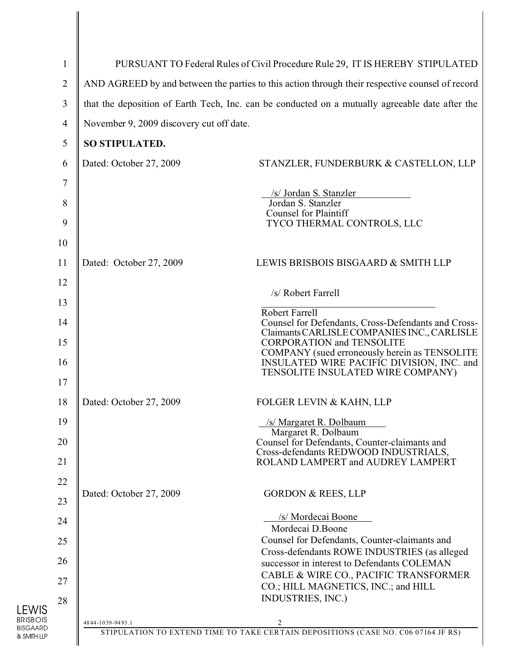| $\mathbf{1}$   | PURSUANT TO Federal Rules of Civil Procedure Rule 29, IT IS HEREBY STIPULATED                   |                                                                                             |  |  |
|----------------|-------------------------------------------------------------------------------------------------|---------------------------------------------------------------------------------------------|--|--|
| $\overline{2}$ | AND AGREED by and between the parties to this action through their respective counsel of record |                                                                                             |  |  |
| 3              | that the deposition of Earth Tech, Inc. can be conducted on a mutually agreeable date after the |                                                                                             |  |  |
| $\overline{4}$ | November 9, 2009 discovery cut off date.                                                        |                                                                                             |  |  |
| 5              | SO STIPULATED.                                                                                  |                                                                                             |  |  |
| 6              | Dated: October 27, 2009                                                                         | STANZLER, FUNDERBURK & CASTELLON, LLP                                                       |  |  |
| 7              |                                                                                                 |                                                                                             |  |  |
| 8              |                                                                                                 | /s/ Jordan S. Stanzler<br>Jordan S. Stanzler                                                |  |  |
| 9              |                                                                                                 | <b>Counsel for Plaintiff</b><br>TYCO THERMAL CONTROLS, LLC                                  |  |  |
| 10             |                                                                                                 |                                                                                             |  |  |
| 11             | Dated: October 27, 2009                                                                         | LEWIS BRISBOIS BISGAARD & SMITH LLP                                                         |  |  |
| 12             |                                                                                                 |                                                                                             |  |  |
| 13             |                                                                                                 | /s/ Robert Farrell                                                                          |  |  |
| 14             |                                                                                                 | <b>Robert Farrell</b><br>Counsel for Defendants, Cross-Defendants and Cross-                |  |  |
| 15             |                                                                                                 | Claimants CARLISLE COMPANIES INC., CARLISLE<br><b>CORPORATION and TENSOLITE</b>             |  |  |
| 16             |                                                                                                 | COMPANY (sued erroneously herein as TENSOLITE<br>INSULATED WIRE PACIFIC DIVISION, INC. and  |  |  |
| 17             |                                                                                                 | TENSOLITE INSULATED WIRE COMPANY)                                                           |  |  |
| 18             | Dated: October 27, 2009                                                                         | FOLGER LEVIN & KAHN, LLP                                                                    |  |  |
| 19             |                                                                                                 | /s/ Margaret R. Dolbaum<br>Margaret R. Dolbaum                                              |  |  |
| 20             |                                                                                                 | Counsel for Defendants, Counter-claimants and<br>Cross-defendants REDWOOD INDUSTRIALS,      |  |  |
| 21             |                                                                                                 | ROLAND LAMPERT and AUDREY LAMPERT                                                           |  |  |
| 22             |                                                                                                 |                                                                                             |  |  |
| 23             | Dated: October 27, 2009<br><b>GORDON &amp; REES, LLP</b>                                        |                                                                                             |  |  |
| 24             |                                                                                                 | /s/ Mordecai Boone<br>Mordecai D.Boone                                                      |  |  |
| 25             | Counsel for Defendants, Counter-claimants and                                                   |                                                                                             |  |  |
| 26             |                                                                                                 | Cross-defendants ROWE INDUSTRIES (as alleged<br>successor in interest to Defendants COLEMAN |  |  |
| 27             | CABLE & WIRE CO., PACIFIC TRANSFORMER<br>CO.; HILL MAGNETICS, INC.; and HILL                    |                                                                                             |  |  |
| 28             |                                                                                                 | INDUSTRIES, INC.)                                                                           |  |  |
|                | 4844-1039-9493.1                                                                                | 2                                                                                           |  |  |
|                |                                                                                                 | STIPULATION TO EXTEND TIME TO TAKE CERTAIN DEPOSITIONS (CASE NO. C06 07164 JF RS)           |  |  |

LEWIS BRISBOIS BISGAARD & SMITH LLP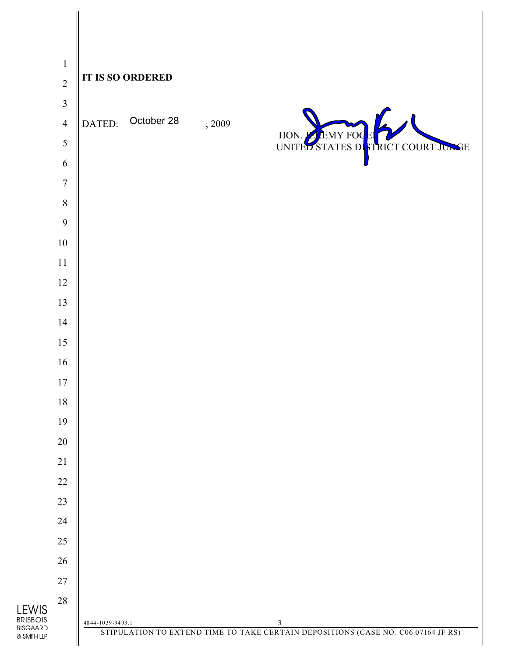|                                                               | $\mathbf 1$      |                  | <b>IT IS SO ORDERED</b> |        |                                                                                                     |                             |    |
|---------------------------------------------------------------|------------------|------------------|-------------------------|--------|-----------------------------------------------------------------------------------------------------|-----------------------------|----|
|                                                               | $\overline{2}$   |                  |                         |        |                                                                                                     |                             |    |
|                                                               | $\mathfrak{Z}$   |                  |                         |        |                                                                                                     |                             |    |
|                                                               | $\overline{4}$   |                  | DATED: October 28       | , 2009 |                                                                                                     |                             |    |
|                                                               | $\mathfrak{S}$   |                  |                         |        |                                                                                                     | HON. E EMY FOC ET COURT JON | SE |
|                                                               | $\sqrt{6}$       |                  |                         |        |                                                                                                     |                             |    |
|                                                               | $\boldsymbol{7}$ |                  |                         |        |                                                                                                     |                             |    |
|                                                               | $8\,$            |                  |                         |        |                                                                                                     |                             |    |
|                                                               | 9                |                  |                         |        |                                                                                                     |                             |    |
| $10\,$                                                        |                  |                  |                         |        |                                                                                                     |                             |    |
| $11\,$                                                        |                  |                  |                         |        |                                                                                                     |                             |    |
| 12<br>13                                                      |                  |                  |                         |        |                                                                                                     |                             |    |
| 14                                                            |                  |                  |                         |        |                                                                                                     |                             |    |
| 15                                                            |                  |                  |                         |        |                                                                                                     |                             |    |
| $16\,$                                                        |                  |                  |                         |        |                                                                                                     |                             |    |
| $17\,$                                                        |                  |                  |                         |        |                                                                                                     |                             |    |
| $18\,$                                                        |                  |                  |                         |        |                                                                                                     |                             |    |
| 19                                                            |                  |                  |                         |        |                                                                                                     |                             |    |
| $20\,$                                                        |                  |                  |                         |        |                                                                                                     |                             |    |
| 21                                                            |                  |                  |                         |        |                                                                                                     |                             |    |
| $22\,$                                                        |                  |                  |                         |        |                                                                                                     |                             |    |
| 23                                                            |                  |                  |                         |        |                                                                                                     |                             |    |
| 24                                                            |                  |                  |                         |        |                                                                                                     |                             |    |
| 25                                                            |                  |                  |                         |        |                                                                                                     |                             |    |
| 26                                                            |                  |                  |                         |        |                                                                                                     |                             |    |
| $27\,$                                                        |                  |                  |                         |        |                                                                                                     |                             |    |
| $28\,$                                                        |                  |                  |                         |        |                                                                                                     |                             |    |
| $\underset{\text{BRISBOIS}}{\text{LEWIS}}$<br><b>BISGAARD</b> |                  | 4844-1039-9493.1 |                         |        | $\mathfrak{Z}$<br>STIPULATION TO EXTEND TIME TO TAKE CERTAIN DEPOSITIONS (CASE NO. C06 07164 JF RS) |                             |    |
| & SMITH LLP                                                   |                  |                  |                         |        |                                                                                                     |                             |    |